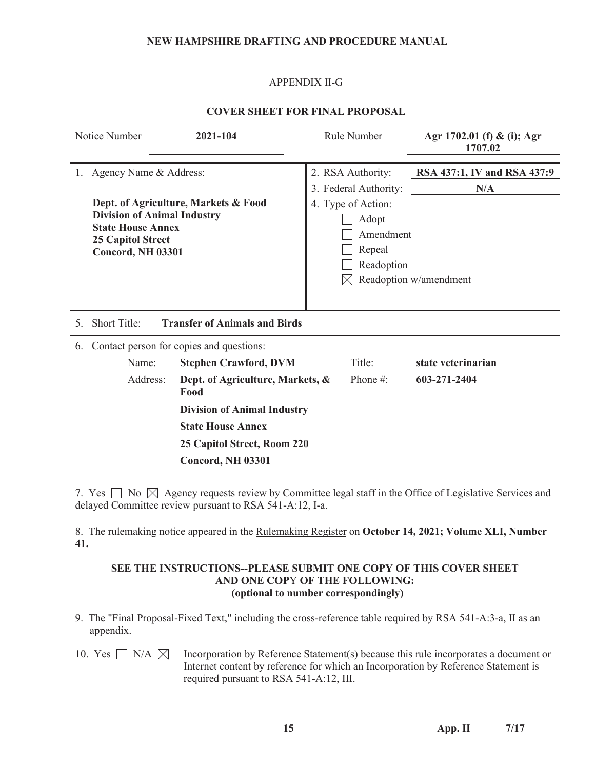#### **NEW HAMPSHIRE DRAFTING AND PROCEDURE MANUAL**

### APPENDIX II-G

### **COVER SHEET FOR FINAL PROPOSAL**

|                | Notice Number                                                                                                   | 2021-104                                 | Rule Number                                                             | Agr 1702.01 (f) & (i); Agr<br>1707.02 |
|----------------|-----------------------------------------------------------------------------------------------------------------|------------------------------------------|-------------------------------------------------------------------------|---------------------------------------|
|                | 1. Agency Name & Address:                                                                                       |                                          | 2. RSA Authority:<br>3. Federal Authority:                              | RSA 437:1, IV and RSA 437:9<br>N/A    |
|                | <b>Division of Animal Industry</b><br><b>State House Annex</b><br><b>25 Capitol Street</b><br>Concord, NH 03301 | Dept. of Agriculture, Markets & Food     | 4. Type of Action:<br>Adopt<br>Amendment<br>Repeal<br>Readoption<br>IXI | Readoption w/amendment                |
| 5 <sub>1</sub> | <b>Short Title:</b>                                                                                             | <b>Transfer of Animals and Birds</b>     |                                                                         |                                       |
| 6.             |                                                                                                                 | Contact person for copies and questions: |                                                                         |                                       |
|                | Name:                                                                                                           | <b>Stephen Crawford, DVM</b>             | Title:                                                                  | state veterinarian                    |
|                | Address:                                                                                                        | Dept. of Agriculture, Markets, &<br>Food | Phone $\#$ :                                                            | 603-271-2404                          |
|                |                                                                                                                 | <b>Division of Animal Industry</b>       |                                                                         |                                       |
|                |                                                                                                                 | <b>State House Annex</b>                 |                                                                         |                                       |
|                |                                                                                                                 | 25 Capitol Street, Room 220              |                                                                         |                                       |
|                |                                                                                                                 | <b>Concord, NH 03301</b>                 |                                                                         |                                       |

7. Yes  $\Box$  No  $\boxtimes$  Agency requests review by Committee legal staff in the Office of Legislative Services and delayed Committee review pursuant to RSA 541-A:12, I-a.

8. The rulemaking notice appeared in the Rulemaking Register on **October 14, 2021; Volume XLI, Number 41.**

### **SEE THE INSTRUCTIONS--PLEASE SUBMIT ONE COPY OF THIS COVER SHEET AND ONE COP**Y **OF THE FOLLOWING: (optional to number correspondingly)**

- 9. The "Final Proposal-Fixed Text," including the cross-reference table required by RSA 541-A:3-a, II as an appendix.
- 10. Yes  $\Box$  N/A  $\boxtimes$  Incorporation by Reference Statement(s) because this rule incorporates a document or Internet content by reference for which an Incorporation by Reference Statement is required pursuant to RSA 541-A:12, III.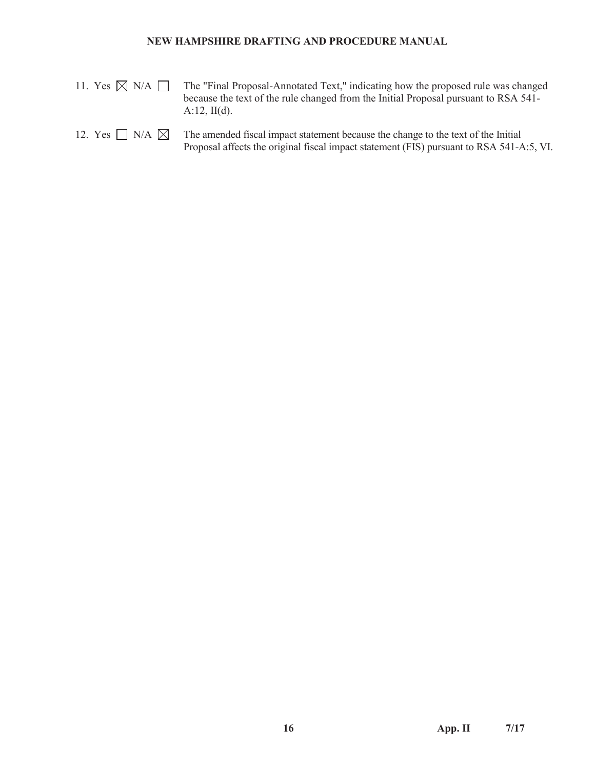#### **NEW HAMPSHIRE DRAFTING AND PROCEDURE MANUAL**

11. Yes  $\boxtimes$  N/A  $\Box$  The "Final Proposal-Annotated Text," indicating how the proposed rule was changed because the text of the rule changed from the Initial Proposal pursuant to RSA 541- A:12, II(d).

### 12. Yes  $\Box$  N/A  $\boxtimes$  The amended fiscal impact statement because the change to the text of the Initial Proposal affects the original fiscal impact statement (FIS) pursuant to RSA 541-A:5, VI.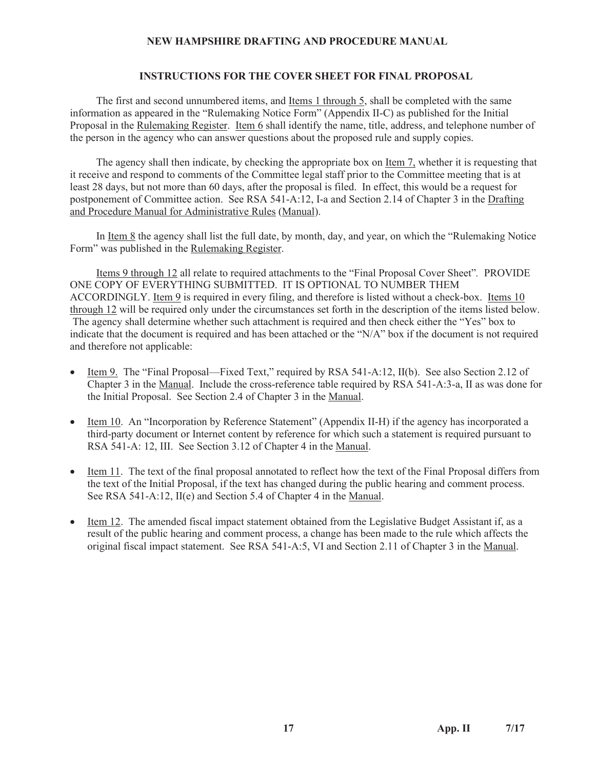### **NEW HAMPSHIRE DRAFTING AND PROCEDURE MANUAL**

#### **INSTRUCTIONS FOR THE COVER SHEET FOR FINAL PROPOSAL**

 The first and second unnumbered items, and Items 1 through 5, shall be completed with the same information as appeared in the "Rulemaking Notice Form" (Appendix II-C) as published for the Initial Proposal in the Rulemaking Register. Item 6 shall identify the name, title, address, and telephone number of the person in the agency who can answer questions about the proposed rule and supply copies.

 The agency shall then indicate, by checking the appropriate box on Item 7, whether it is requesting that it receive and respond to comments of the Committee legal staff prior to the Committee meeting that is at least 28 days, but not more than 60 days, after the proposal is filed. In effect, this would be a request for postponement of Committee action. See RSA 541-A:12, I-a and Section 2.14 of Chapter 3 in the Drafting and Procedure Manual for Administrative Rules (Manual).

 In Item 8 the agency shall list the full date, by month, day, and year, on which the "Rulemaking Notice Form" was published in the Rulemaking Register.

 Items 9 through 12 all relate to required attachments to the "Final Proposal Cover Sheet"*.* PROVIDE ONE COPY OF EVERYTHING SUBMITTED. IT IS OPTIONAL TO NUMBER THEM ACCORDINGLY. Item 9 is required in every filing, and therefore is listed without a check-box. Items 10 through 12 will be required only under the circumstances set forth in the description of the items listed below. The agency shall determine whether such attachment is required and then check either the "Yes" box to indicate that the document is required and has been attached or the "N/A" box if the document is not required and therefore not applicable:

- Item 9. The "Final Proposal—Fixed Text," required by RSA 541-A:12, II(b). See also Section 2.12 of Chapter 3 in the Manual. Include the cross-reference table required by RSA 541-A:3-a, II as was done for the Initial Proposal. See Section 2.4 of Chapter 3 in the Manual.
- Item 10. An "Incorporation by Reference Statement" (Appendix II-H) if the agency has incorporated a third-party document or Internet content by reference for which such a statement is required pursuant to RSA 541-A: 12, III. See Section 3.12 of Chapter 4 in the Manual.
- x Item 11. The text of the final proposal annotated to reflect how the text of the Final Proposal differs from the text of the Initial Proposal, if the text has changed during the public hearing and comment process. See RSA 541-A:12, II(e) and Section 5.4 of Chapter 4 in the Manual.
- Item 12. The amended fiscal impact statement obtained from the Legislative Budget Assistant if, as a result of the public hearing and comment process, a change has been made to the rule which affects the original fiscal impact statement. See RSA 541-A:5, VI and Section 2.11 of Chapter 3 in the Manual.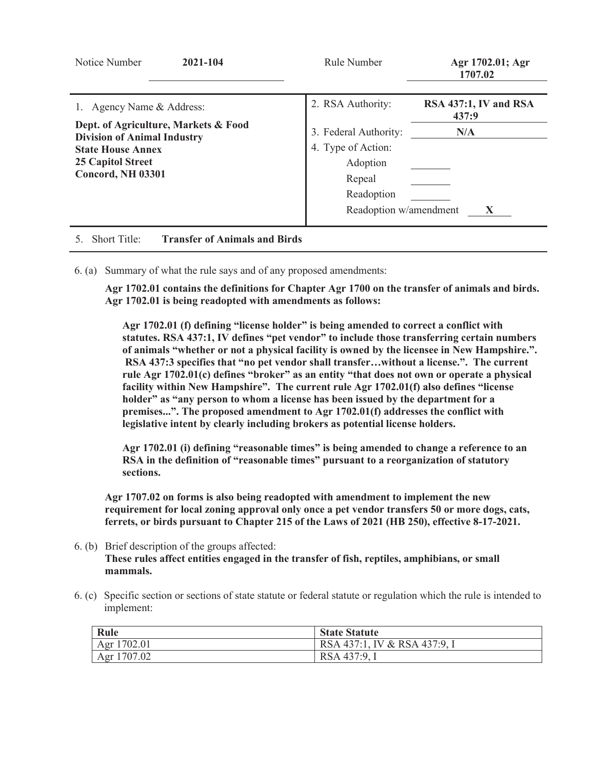| Notice Number<br>2021-104                                                                                                                               | Rule Number                                                                                               | Agr 1702.01; Agr<br>1707.02    |
|---------------------------------------------------------------------------------------------------------------------------------------------------------|-----------------------------------------------------------------------------------------------------------|--------------------------------|
| 1. Agency Name & Address:                                                                                                                               | 2. RSA Authority:                                                                                         | RSA 437:1, IV and RSA<br>437:9 |
| Dept. of Agriculture, Markets & Food<br><b>Division of Animal Industry</b><br><b>State House Annex</b><br>25 Capitol Street<br><b>Concord, NH 03301</b> | 3. Federal Authority:<br>4. Type of Action:<br>Adoption<br>Repeal<br>Readoption<br>Readoption w/amendment | N/A<br>X                       |
| <b>Short Title:</b><br><b>Transfer of Animals and Birds</b>                                                                                             |                                                                                                           |                                |

6. (a) Summary of what the rule says and of any proposed amendments:

**Agr 1702.01 contains the definitions for Chapter Agr 1700 on the transfer of animals and birds. Agr 1702.01 is being readopted with amendments as follows:** 

**Agr 1702.01 (f) defining "license holder" is being amended to correct a conflict with statutes. RSA 437:1, IV defines "pet vendor" to include those transferring certain numbers of animals "whether or not a physical facility is owned by the licensee in New Hampshire.". RSA 437:3 specifies that "no pet vendor shall transfer…without a license.". The current rule Agr 1702.01(c) defines "broker" as an entity "that does not own or operate a physical facility within New Hampshire". The current rule Agr 1702.01(f) also defines "license holder" as "any person to whom a license has been issued by the department for a premises...". The proposed amendment to Agr 1702.01(f) addresses the conflict with legislative intent by clearly including brokers as potential license holders.** 

**Agr 1702.01 (i) defining "reasonable times" is being amended to change a reference to an RSA in the definition of "reasonable times" pursuant to a reorganization of statutory sections.** 

**Agr 1707.02 on forms is also being readopted with amendment to implement the new requirement for local zoning approval only once a pet vendor transfers 50 or more dogs, cats, ferrets, or birds pursuant to Chapter 215 of the Laws of 2021 (HB 250), effective 8-17-2021.** 

- 6. (b) Brief description of the groups affected: **These rules affect entities engaged in the transfer of fish, reptiles, amphibians, or small mammals.**
- 6. (c) Specific section or sections of state statute or federal statute or regulation which the rule is intended to implement:

| Rule        | <b>State Statute</b>         |
|-------------|------------------------------|
| Agr 1702.01 | RSA 437:1, IV & RSA 437:9, I |
| Agr 1707.02 | RSA 437:9, 1                 |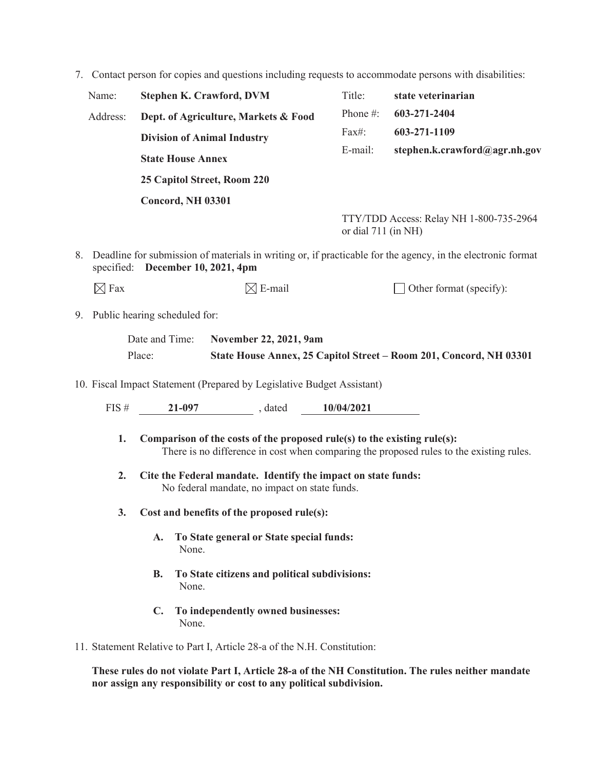7. Contact person for copies and questions including requests to accommodate persons with disabilities:

| Name:    | <b>Stephen K. Crawford, DVM</b>      | Title:                | state veterinarian                      |
|----------|--------------------------------------|-----------------------|-----------------------------------------|
| Address: | Dept. of Agriculture, Markets & Food | Phone $#$ :           | 603-271-2404                            |
|          | <b>Division of Animal Industry</b>   | Fax#:                 | 603-271-1109                            |
|          | <b>State House Annex</b>             | E-mail:               | stephen.k.crawford@agr.nh.gov           |
|          | 25 Capitol Street, Room 220          |                       |                                         |
|          | <b>Concord, NH 03301</b>             |                       |                                         |
|          |                                      | or dial $711$ (in NH) | TTY/TDD Access: Relay NH 1-800-735-2964 |

8. Deadline for submission of materials in writing or, if practicable for the agency, in the electronic format specified: **December 10, 2021, 4pm**

9. Public hearing scheduled for:

| Date and Time: | November 22, 2021, 9am                                             |
|----------------|--------------------------------------------------------------------|
| Place:         | State House Annex, 25 Capitol Street – Room 201, Concord, NH 03301 |

10. Fiscal Impact Statement (Prepared by Legislative Budget Assistant)

| FIS # | 21-097 | . dated | 10/04/2021 |
|-------|--------|---------|------------|
|       |        |         |            |

- **1. Comparison of the costs of the proposed rule(s) to the existing rule(s):**  There is no difference in cost when comparing the proposed rules to the existing rules.
- **2. Cite the Federal mandate. Identify the impact on state funds:**  No federal mandate, no impact on state funds.
- **3. Cost and benefits of the proposed rule(s):** 
	- **A. To State general or State special funds:**  None.
	- **B. To State citizens and political subdivisions:**  None.
	- **C. To independently owned businesses:**  None.
- 11. Statement Relative to Part I, Article 28-a of the N.H. Constitution:

**These rules do not violate Part I, Article 28-a of the NH Constitution. The rules neither mandate nor assign any responsibility or cost to any political subdivision.**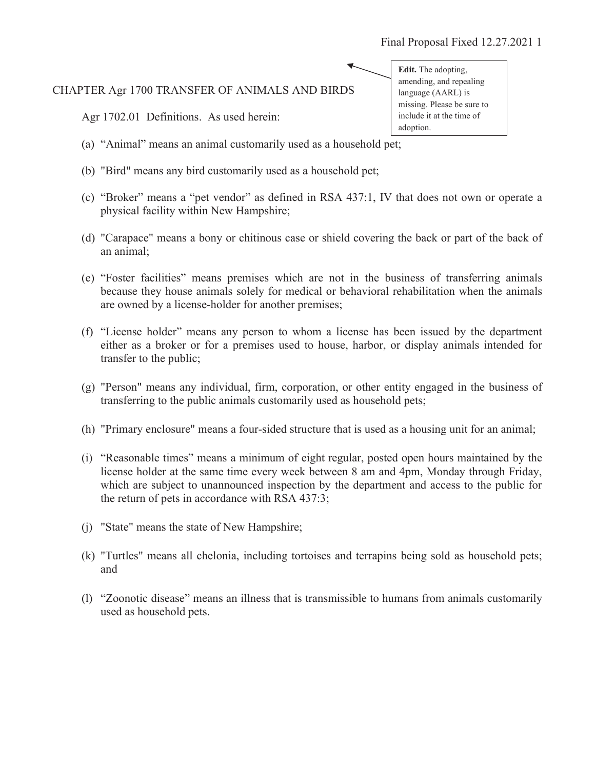# CHAPTER Agr 1700 TRANSFER OF ANIMALS AND BIRDS

Agr 1702.01 Definitions. As used herein:

- (a) "Animal" means an animal customarily used as a household pet;
- (b) "Bird" means any bird customarily used as a household pet;
- (c) "Broker" means a "pet vendor" as defined in RSA 437:1, IV that does not own or operate a physical facility within New Hampshire;
- (d) "Carapace" means a bony or chitinous case or shield covering the back or part of the back of an animal;
- (e) "Foster facilities" means premises which are not in the business of transferring animals because they house animals solely for medical or behavioral rehabilitation when the animals are owned by a license-holder for another premises;
- (f) "License holder" means any person to whom a license has been issued by the department either as a broker or for a premises used to house, harbor, or display animals intended for transfer to the public;
- (g) "Person" means any individual, firm, corporation, or other entity engaged in the business of transferring to the public animals customarily used as household pets;
- (h) "Primary enclosure" means a four-sided structure that is used as a housing unit for an animal;
- (i) "Reasonable times" means a minimum of eight regular, posted open hours maintained by the license holder at the same time every week between 8 am and 4pm, Monday through Friday, which are subject to unannounced inspection by the department and access to the public for the return of pets in accordance with RSA 437:3;
- (j) "State" means the state of New Hampshire;
- (k) "Turtles" means all chelonia, including tortoises and terrapins being sold as household pets; and
- (l) "Zoonotic disease" means an illness that is transmissible to humans from animals customarily used as household pets.

**Edit.** The adopting, amending, and repealing language (AARL) is missing. Please be sure to include it at the time of adoption.